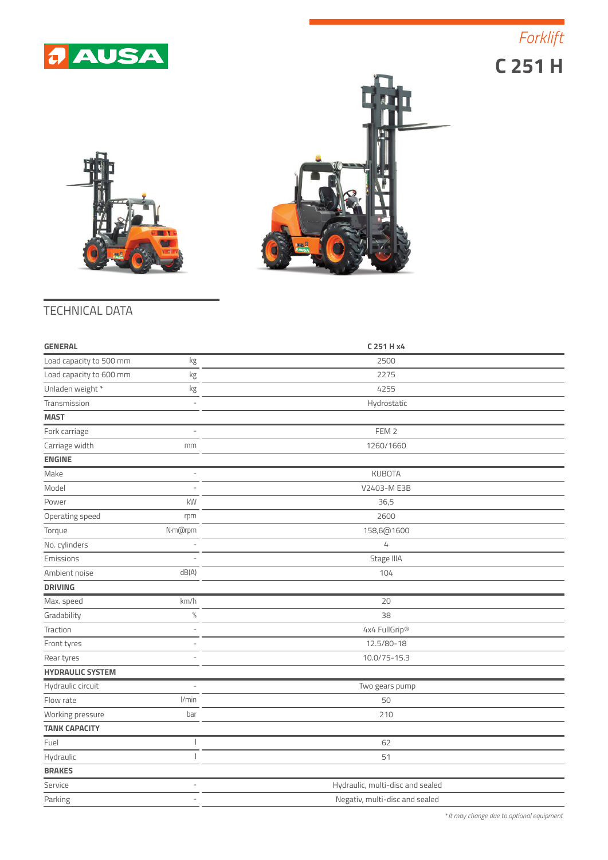

 **C 251 H** *Forklift*





## TECHNICAL DATA

| <b>GENERAL</b>                | C 251 H x4                       |
|-------------------------------|----------------------------------|
| Load capacity to 500 mm<br>kg | 2500                             |
| Load capacity to 600 mm<br>kg | 2275                             |
| Unladen weight *<br>kg        | 4255                             |
| Transmission<br>٠             | Hydrostatic                      |
| <b>MAST</b>                   |                                  |
| Fork carriage                 | FEM <sub>2</sub>                 |
| Carriage width<br>mm          | 1260/1660                        |
| <b>ENGINE</b>                 |                                  |
| Make                          | <b>KUBOTA</b>                    |
| Model                         | V2403-M E3B                      |
| kW<br>Power                   | 36,5                             |
| Operating speed<br>rpm        | 2600                             |
| N·m@rpm<br>Torque             | 158,6@1600                       |
| No. cylinders                 | 4                                |
| Emissions                     | Stage IIIA                       |
| Ambient noise<br>dB(A)        | 104                              |
| <b>DRIVING</b>                |                                  |
| Max. speed<br>km/h            | 20                               |
| $\%$<br>Gradability           | 38                               |
| Traction<br>$\overline{a}$    | 4x4 FullGrip®                    |
| Front tyres                   | 12.5/80-18                       |
| Rear tyres                    | 10.0/75-15.3                     |
| <b>HYDRAULIC SYSTEM</b>       |                                  |
| Hydraulic circuit             | Two gears pump                   |
| l/min<br>Flow rate            | 50                               |
| Working pressure<br>bar       | 210                              |
| <b>TANK CAPACITY</b>          |                                  |
| Fuel                          | 62                               |
| Hydraulic                     | 51                               |
| <b>BRAKES</b>                 |                                  |
| Service                       | Hydraulic, multi-disc and sealed |
| Parking<br>L,                 | Negativ, multi-disc and sealed   |

*\* It may change due to optional equipment*